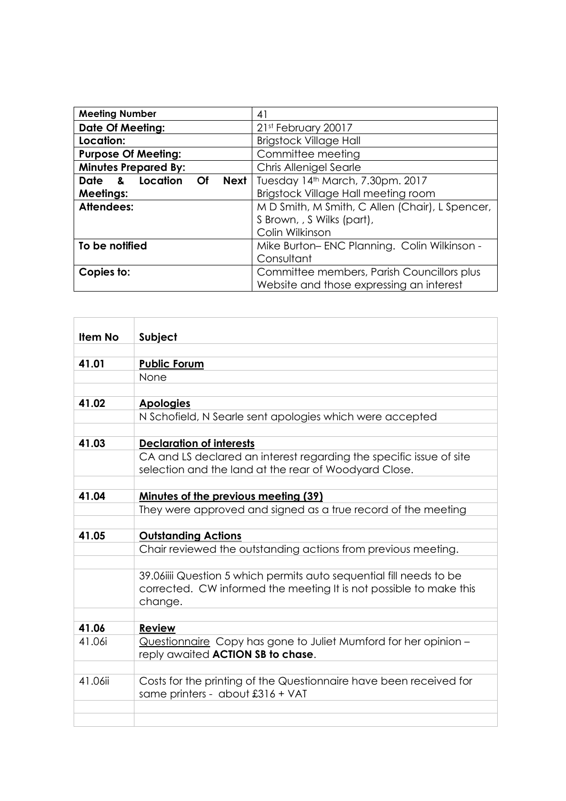| <b>Meeting Number</b>                  | 41                                              |
|----------------------------------------|-------------------------------------------------|
| <b>Date Of Meeting:</b>                | 21st February 20017                             |
| Location:                              | <b>Brigstock Village Hall</b>                   |
| <b>Purpose Of Meeting:</b>             | Committee meeting                               |
| <b>Minutes Prepared By:</b>            | Chris Allenigel Searle                          |
| Date & Location<br><b>Next</b><br>- Of | Tuesday 14th March, 7.30pm. 2017                |
| <b>Meetings:</b>                       | Brigstock Village Hall meeting room             |
| Attendees:                             | M D Smith, M Smith, C Allen (Chair), L Spencer, |
|                                        | S Brown, , S Wilks (part),                      |
|                                        | Colin Wilkinson                                 |
| To be notified                         | Mike Burton-ENC Planning. Colin Wilkinson -     |
|                                        | Consultant                                      |
| Copies to:                             | Committee members, Parish Councillors plus      |
|                                        | Website and those expressing an interest        |

| <b>Item No</b> | Subject                                                                                                                                              |
|----------------|------------------------------------------------------------------------------------------------------------------------------------------------------|
|                |                                                                                                                                                      |
| 41.01          | <b>Public Forum</b>                                                                                                                                  |
|                | None                                                                                                                                                 |
|                |                                                                                                                                                      |
| 41.02          | <b>Apologies</b>                                                                                                                                     |
|                | N Schofield, N Searle sent apologies which were accepted                                                                                             |
|                |                                                                                                                                                      |
| 41.03          | <b>Declaration of interests</b>                                                                                                                      |
|                | CA and LS declared an interest regarding the specific issue of site<br>selection and the land at the rear of Woodyard Close.                         |
|                |                                                                                                                                                      |
| 41.04          | <u>Minutes of the previous meeting (39)</u>                                                                                                          |
|                | They were approved and signed as a true record of the meeting                                                                                        |
|                |                                                                                                                                                      |
| 41.05          | <b>Outstanding Actions</b>                                                                                                                           |
|                | Chair reviewed the outstanding actions from previous meeting.                                                                                        |
|                |                                                                                                                                                      |
|                | 39.06iiii Question 5 which permits auto sequential fill needs to be<br>corrected. CW informed the meeting It is not possible to make this<br>change. |
|                |                                                                                                                                                      |
| 41.06          | <b>Review</b>                                                                                                                                        |
| 41.06i         | Questionnaire Copy has gone to Juliet Mumford for her opinion -<br>reply awaited <b>ACTION SB to chase.</b>                                          |
|                |                                                                                                                                                      |
| 41.06ii        | Costs for the printing of the Questionnaire have been received for<br>same printers - about £316 + VAT                                               |
|                |                                                                                                                                                      |
|                |                                                                                                                                                      |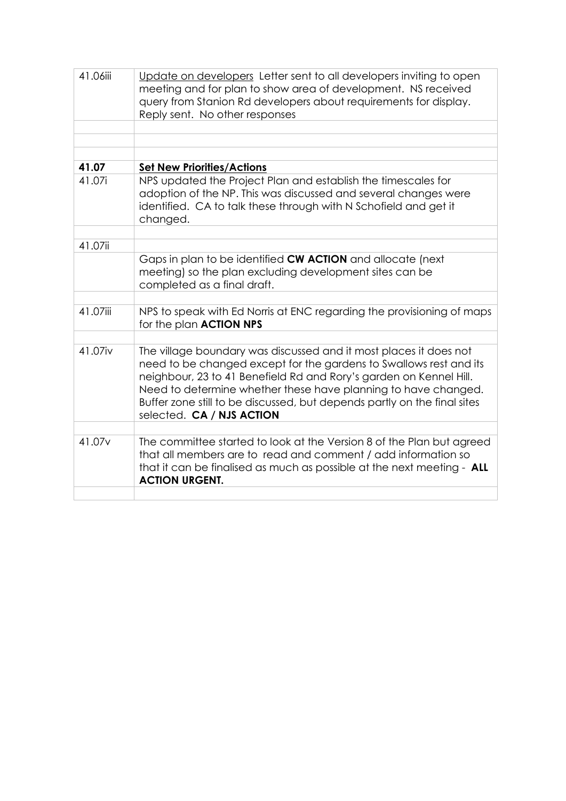| 41.06iii           | Update on developers Letter sent to all developers inviting to open<br>meeting and for plan to show area of development. NS received<br>query from Stanion Rd developers about requirements for display.<br>Reply sent. No other responses                                                                                                                                               |
|--------------------|------------------------------------------------------------------------------------------------------------------------------------------------------------------------------------------------------------------------------------------------------------------------------------------------------------------------------------------------------------------------------------------|
|                    |                                                                                                                                                                                                                                                                                                                                                                                          |
|                    |                                                                                                                                                                                                                                                                                                                                                                                          |
| 41.07              | <b>Set New Priorities/Actions</b>                                                                                                                                                                                                                                                                                                                                                        |
| 41.07i             | NPS updated the Project Plan and establish the timescales for<br>adoption of the NP. This was discussed and several changes were<br>identified. CA to talk these through with N Schofield and get it<br>changed.                                                                                                                                                                         |
| 41.07ii            |                                                                                                                                                                                                                                                                                                                                                                                          |
|                    | Gaps in plan to be identified CW ACTION and allocate (next<br>meeting) so the plan excluding development sites can be<br>completed as a final draft.                                                                                                                                                                                                                                     |
|                    |                                                                                                                                                                                                                                                                                                                                                                                          |
| 41.07iii           | NPS to speak with Ed Norris at ENC regarding the provisioning of maps<br>for the plan <b>ACTION NPS</b>                                                                                                                                                                                                                                                                                  |
|                    |                                                                                                                                                                                                                                                                                                                                                                                          |
| 41.07iv            | The village boundary was discussed and it most places it does not<br>need to be changed except for the gardens to Swallows rest and its<br>neighbour, 23 to 41 Benefield Rd and Rory's garden on Kennel Hill.<br>Need to determine whether these have planning to have changed.<br>Buffer zone still to be discussed, but depends partly on the final sites<br>selected. CA / NJS ACTION |
|                    |                                                                                                                                                                                                                                                                                                                                                                                          |
| 41.07 <sub>v</sub> | The committee started to look at the Version 8 of the Plan but agreed<br>that all members are to read and comment / add information so<br>that it can be finalised as much as possible at the next meeting - ALL<br><b>ACTION URGENT.</b>                                                                                                                                                |
|                    |                                                                                                                                                                                                                                                                                                                                                                                          |